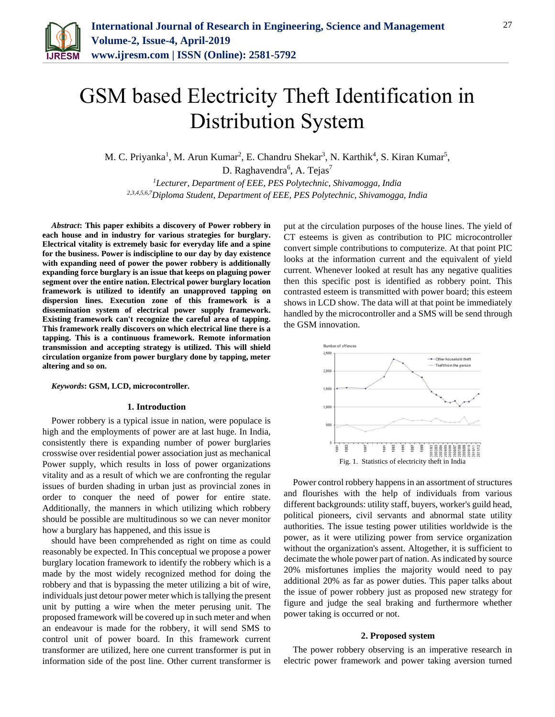

# GSM based Electricity Theft Identification in Distribution System

M. C. Priyanka<sup>1</sup>, M. Arun Kumar<sup>2</sup>, E. Chandru Shekar<sup>3</sup>, N. Karthik<sup>4</sup>, S. Kiran Kumar<sup>5</sup>,

D. Raghavendra<sup>6</sup>, A. Tejas<sup>7</sup>

*<sup>1</sup>Lecturer, Department of EEE, PES Polytechnic, Shivamogga, India 2,3,4,5,6,7Diploma Student, Department of EEE, PES Polytechnic, Shivamogga, India*

*Abstract***: This paper exhibits a discovery of Power robbery in each house and in industry for various strategies for burglary. Electrical vitality is extremely basic for everyday life and a spine for the business. Power is indiscipline to our day by day existence with expanding need of power the power robbery is additionally expanding force burglary is an issue that keeps on plaguing power segment over the entire nation. Electrical power burglary location framework is utilized to identify an unapproved tapping on dispersion lines. Execution zone of this framework is a dissemination system of electrical power supply framework. Existing framework can't recognize the careful area of tapping. This framework really discovers on which electrical line there is a tapping. This is a continuous framework. Remote information transmission and accepting strategy is utilized. This will shield circulation organize from power burglary done by tapping, meter altering and so on.**

*Keywords***: GSM, LCD, microcontroller.**

#### **1. Introduction**

Power robbery is a typical issue in nation, were populace is high and the employments of power are at last huge. In India, consistently there is expanding number of power burglaries crosswise over residential power association just as mechanical Power supply, which results in loss of power organizations vitality and as a result of which we are confronting the regular issues of burden shading in urban just as provincial zones in order to conquer the need of power for entire state. Additionally, the manners in which utilizing which robbery should be possible are multitudinous so we can never monitor how a burglary has happened, and this issue is

should have been comprehended as right on time as could reasonably be expected. In This conceptual we propose a power burglary location framework to identify the robbery which is a made by the most widely recognized method for doing the robbery and that is bypassing the meter utilizing a bit of wire, individuals just detour power meter which is tallying the present unit by putting a wire when the meter perusing unit. The proposed framework will be covered up in such meter and when an endeavour is made for the robbery, it will send SMS to control unit of power board. In this framework current transformer are utilized, here one current transformer is put in information side of the post line. Other current transformer is put at the circulation purposes of the house lines. The yield of CT esteems is given as contribution to PIC microcontroller convert simple contributions to computerize. At that point PIC looks at the information current and the equivalent of yield current. Whenever looked at result has any negative qualities then this specific post is identified as robbery point. This contrasted esteem is transmitted with power board; this esteem shows in LCD show. The data will at that point be immediately handled by the microcontroller and a SMS will be send through the GSM innovation.



Power control robbery happens in an assortment of structures and flourishes with the help of individuals from various different backgrounds: utility staff, buyers, worker's guild head, political pioneers, civil servants and abnormal state utility authorities. The issue testing power utilities worldwide is the power, as it were utilizing power from service organization without the organization's assent. Altogether, it is sufficient to decimate the whole power part of nation. As indicated by source 20% misfortunes implies the majority would need to pay additional 20% as far as power duties. This paper talks about the issue of power robbery just as proposed new strategy for figure and judge the seal braking and furthermore whether power taking is occurred or not.

#### **2. Proposed system**

The power robbery observing is an imperative research in electric power framework and power taking aversion turned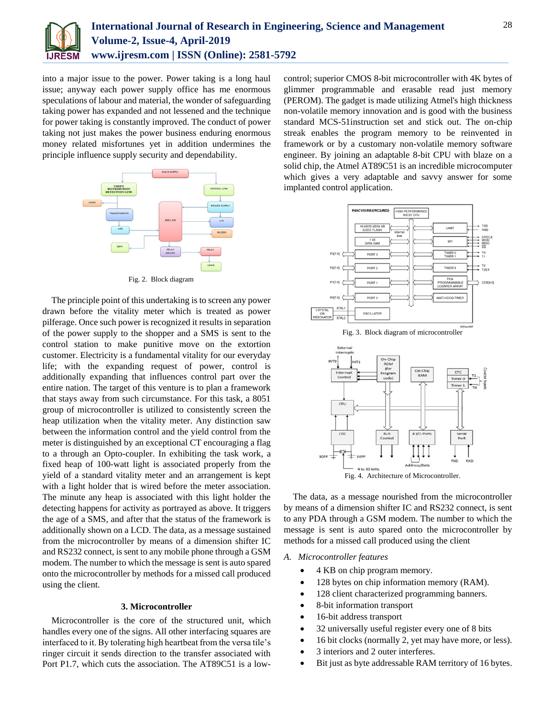

into a major issue to the power. Power taking is a long haul issue; anyway each power supply office has me enormous speculations of labour and material, the wonder of safeguarding taking power has expanded and not lessened and the technique for power taking is constantly improved. The conduct of power taking not just makes the power business enduring enormous money related misfortunes yet in addition undermines the principle influence supply security and dependability.



Fig. 2. Block diagram

The principle point of this undertaking is to screen any power drawn before the vitality meter which is treated as power pilferage. Once such power is recognized it results in separation of the power supply to the shopper and a SMS is sent to the control station to make punitive move on the extortion customer. Electricity is a fundamental vitality for our everyday life; with the expanding request of power, control is additionally expanding that influences control part over the entire nation. The target of this venture is to plan a framework that stays away from such circumstance. For this task, a 8051 group of microcontroller is utilized to consistently screen the heap utilization when the vitality meter. Any distinction saw between the information control and the yield control from the meter is distinguished by an exceptional CT encouraging a flag to a through an Opto-coupler. In exhibiting the task work, a fixed heap of 100-watt light is associated properly from the yield of a standard vitality meter and an arrangement is kept with a light holder that is wired before the meter association. The minute any heap is associated with this light holder the detecting happens for activity as portrayed as above. It triggers the age of a SMS, and after that the status of the framework is additionally shown on a LCD. The data, as a message sustained from the microcontroller by means of a dimension shifter IC and RS232 connect, is sent to any mobile phone through a GSM modem. The number to which the message is sent is auto spared onto the microcontroller by methods for a missed call produced using the client.

### **3. Microcontroller**

Microcontroller is the core of the structured unit, which handles every one of the signs. All other interfacing squares are interfaced to it. By tolerating high heartbeat from the versa tile's ringer circuit it sends direction to the transfer associated with Port P1.7, which cuts the association. The AT89C51 is a lowcontrol; superior CMOS 8-bit microcontroller with 4K bytes of glimmer programmable and erasable read just memory (PEROM). The gadget is made utilizing Atmel's high thickness non-volatile memory innovation and is good with the business standard MCS-51instruction set and stick out. The on-chip streak enables the program memory to be reinvented in framework or by a customary non-volatile memory software engineer. By joining an adaptable 8-bit CPU with blaze on a solid chip, the Atmel AT89C51 is an incredible microcomputer which gives a very adaptable and savvy answer for some implanted control application.



Fig. 3. Block diagram of microcontroller



The data, as a message nourished from the microcontroller

by means of a dimension shifter IC and RS232 connect, is sent to any PDA through a GSM modem. The number to which the message is sent is auto spared onto the microcontroller by methods for a missed call produced using the client

#### *A. Microcontroller features*

- 4 KB on chip program memory.
- 128 bytes on chip information memory (RAM).
- 128 client characterized programming banners.
- 8-bit information transport
- 16-bit address transport
- 32 universally useful register every one of 8 bits
- 16 bit clocks (normally 2, yet may have more, or less).
- 3 interiors and 2 outer interferes.
- Bit just as byte addressable RAM territory of 16 bytes.